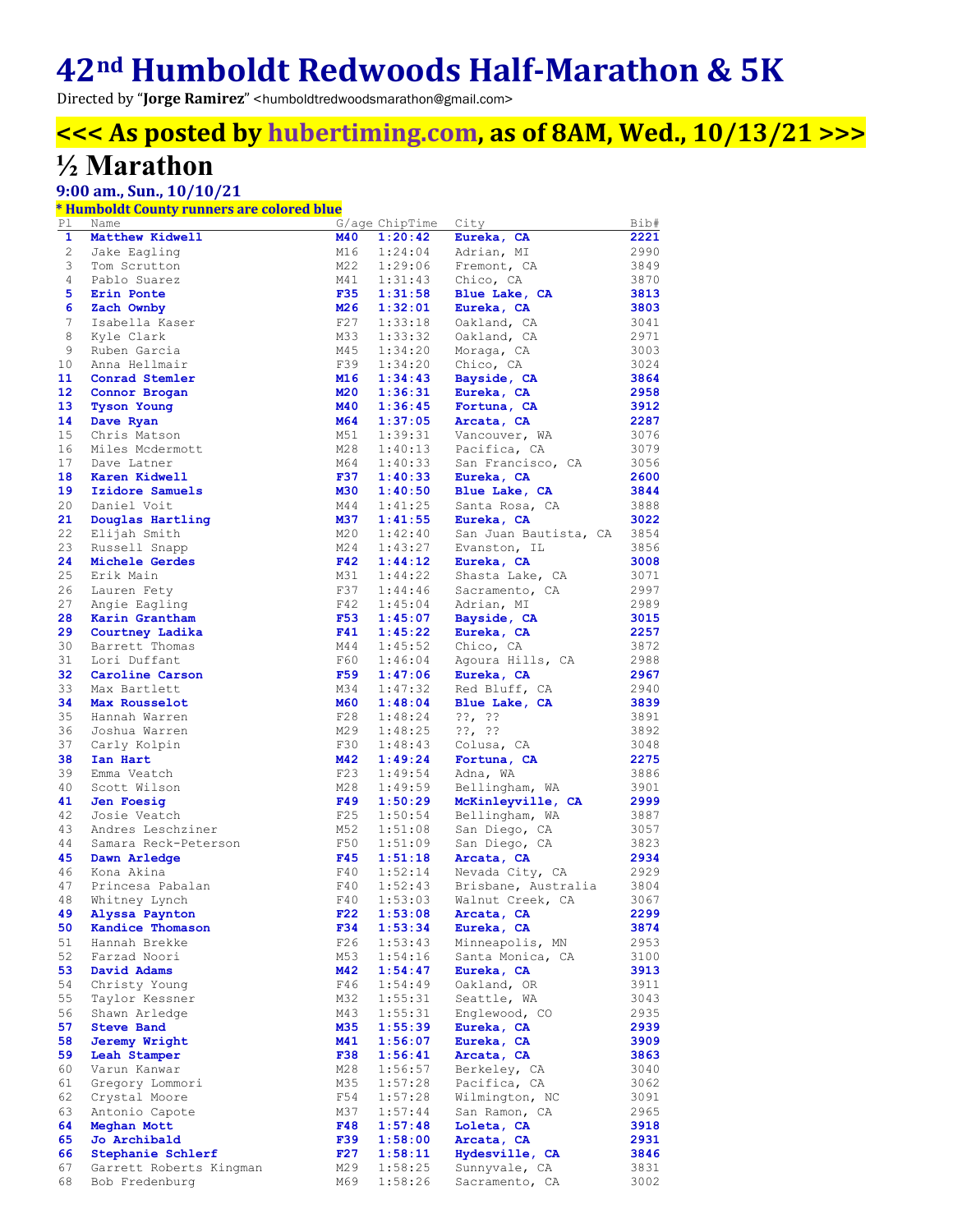# **42nd Humboldt Redwoods Half-Marathon & 5K**

Directed by "**Jorge Ramirez**" <humboldtredwoodsmarathon@gmail.com>

## **<<< As posted by hubertiming.com, as of 8AM, Wed., 10/13/21 >>>**

## **½ Marathon**

### **9:00 am., Sun., 10/10/21**

### **\* Humboldt County runners are colored blue**

| Pl             | Name                    |            | G/age ChipTime | City                  | Bib# |
|----------------|-------------------------|------------|----------------|-----------------------|------|
| 1              | Matthew Kidwell         | M40        | 1:20:42        | Eureka, CA            | 2221 |
| 2              | Jake Eagling            | M16        | 1:24:04        | Adrian, MI            | 2990 |
| 3              | Tom Scrutton            | M22        | 1:29:06        | Fremont, CA           | 3849 |
| $\overline{4}$ | Pablo Suarez            | M41        | 1:31:43        | Chico, CA             | 3870 |
| 5              | Erin Ponte              | <b>F35</b> | 1:31:58        | Blue Lake, CA         | 3813 |
|                |                         | M26        | 1:32:01        | Eureka, CA            |      |
| 6              | Zach Ownby              |            |                |                       | 3803 |
| 7              | Isabella Kaser          | F27        | 1:33:18        | Oakland, CA           | 3041 |
| 8              | Kyle Clark              | M33        | 1:33:32        | Oakland, CA           | 2971 |
| 9              | Ruben Garcia            | M45        | 1:34:20        | Moraga, CA            | 3003 |
| 10             | Anna Hellmair           | F39        | 1:34:20        | Chico, CA             | 3024 |
| 11             | Conrad Stemler          | M16        | 1:34:43        | Bayside, CA           | 3864 |
| 12             | Connor Brogan           | M20        | 1:36:31        | Eureka, CA            | 2958 |
| 13             | <b>Tyson Young</b>      | <b>M40</b> | 1:36:45        | Fortuna, CA           | 3912 |
| 14             | Dave Ryan               | M64        | 1:37:05        | Arcata, CA            | 2287 |
| 15             | Chris Matson            | M51        | 1:39:31        | Vancouver, WA         | 3076 |
| 16             |                         | M28        | 1:40:13        |                       | 3079 |
|                | Miles Mcdermott         |            |                | Pacifica, CA          |      |
| 17             | Dave Latner             | M64        | 1:40:33        | San Francisco, CA     | 3056 |
| 18             | Karen Kidwell           | F37        | 1:40:33        | Eureka, CA            | 2600 |
| 19             | Izidore Samuels         | M30        | 1:40:50        | Blue Lake, CA         | 3844 |
| 20             | Daniel Voit             | M44        | 1:41:25        | Santa Rosa, CA        | 3888 |
| 21             | Douglas Hartling        | M37        | 1:41:55        | Eureka, CA            | 3022 |
| 22             | Elijah Smith            | M20        | 1:42:40        | San Juan Bautista, CA | 3854 |
| 23             | Russell Snapp           | M24        | 1:43:27        | Evanston, IL          | 3856 |
| 24             | Michele Gerdes          | F42        | 1:44:12        | Eureka, CA            | 3008 |
| 25             | Erik Main               | M31        | 1:44:22        | Shasta Lake, CA       | 3071 |
| 26             | Lauren Fety             | F37        | 1:44:46        | Sacramento, CA        | 2997 |
| 27             |                         |            |                |                       |      |
|                | Angie Eagling           | F42        | 1:45:04        | Adrian, MI            | 2989 |
| 28             | Karin Grantham          | F53        | 1:45:07        | Bayside, CA           | 3015 |
| 29             | Courtney Ladika         | F41        | 1:45:22        | Eureka, CA            | 2257 |
| 30             | Barrett Thomas          | M44        | 1:45:52        | Chico, CA             | 3872 |
| 31             | Lori Duffant            | F60        | 1:46:04        | Agoura Hills, CA      | 2988 |
| 32             | Caroline Carson         | F59        | 1:47:06        | Eureka, CA            | 2967 |
| 33             | Max Bartlett            | M34        | 1:47:32        | Red Bluff, CA         | 2940 |
| 34             | Max Rousselot           | <b>M60</b> | 1:48:04        | Blue Lake, CA         | 3839 |
| 35             | Hannah Warren           | F28        | 1:48:24        | $??$ , $??$           | 3891 |
| 36             | Joshua Warren           | M29        | 1:48:25        | ??, ??                | 3892 |
| 37             | Carly Kolpin            | F30        | 1:48:43        | Colusa, CA            | 3048 |
| 38             |                         | M42        |                |                       |      |
|                | Ian Hart                |            | 1:49:24        | Fortuna, CA           | 2275 |
| 39             | Emma Veatch             | F23        | 1:49:54        | Adna, WA              | 3886 |
| 40             | Scott Wilson            | M28        | 1:49:59        | Bellingham, WA        | 3901 |
| 41             | Jen Foesig              | F49        | 1:50:29        | McKinleyville, CA     | 2999 |
| 42             | Josie Veatch            | F25        | 1:50:54        | Bellingham, WA        | 3887 |
| 43             | Andres Leschziner       | M52        | 1:51:08        | San Diego, CA         | 3057 |
| 44             | Samara Reck-Peterson    | F50        | 1:51:09        | San Diego, CA         | 3823 |
| 45             | Dawn Arledge            | F45        | 1:51:18        | Arcata, CA            | 2934 |
| 46             | Kona Akina              | F40        | 1:52:14        | Nevada City, CA       | 2929 |
| 47             | Princesa Pabalan        | F40        | 1:52:43        | Brisbane, Australia   | 3804 |
| 48             | Whitney Lynch           | F40        | 1:53:03        | Walnut Creek, CA      | 3067 |
| 49             | Alyssa Paynton          | F22        | 1:53:08        | Arcata, CA            | 2299 |
|                |                         |            |                |                       |      |
| 50             | Kandice Thomason        | F34        | 1:53:34        | Eureka, CA            | 3874 |
| 51             | Hannah Brekke           | F26        | 1:53:43        | Minneapolis, MN       | 2953 |
| 52             | Farzad Noori            | M53        | 1:54:16        | Santa Monica, CA      | 3100 |
| 53             | David Adams             | <b>M42</b> | 1:54:47        | Eureka, CA            | 3913 |
| 54             | Christy Young           | F46        | 1:54:49        | Oakland, OR           | 3911 |
| 55             | Taylor Kessner          | M32        | 1:55:31        | Seattle, WA           | 3043 |
| 56             | Shawn Arledge           | M43        | 1:55:31        | Englewood, CO         | 2935 |
| 57             | <b>Steve Band</b>       | M35        | 1:55:39        | Eureka, CA            | 2939 |
| 58             | <b>Jeremy Wright</b>    | M41        | 1:56:07        | Eureka, CA            | 3909 |
| 59             | Leah Stamper            | <b>F38</b> | 1:56:41        | Arcata, CA            | 3863 |
|                |                         |            |                |                       |      |
| 60             | Varun Kanwar            | M28        | 1:56:57        | Berkeley, CA          | 3040 |
| 61             | Gregory Lommori         | M35        | 1:57:28        | Pacifica, CA          | 3062 |
| 62             | Crystal Moore           | F54        | 1:57:28        | Wilmington, NC        | 3091 |
| 63             | Antonio Capote          | M37        | 1:57:44        | San Ramon, CA         | 2965 |
| 64             | Meghan Mott             | F48        | 1:57:48        | Loleta, CA            | 3918 |
| 65             | Jo Archibald            | F39        | 1:58:00        | Arcata, CA            | 2931 |
| 66             | Stephanie Schlerf       | F27        | 1:58:11        | Hydesville, CA        | 3846 |
| 67             | Garrett Roberts Kingman | M29        | 1:58:25        | Sunnyvale, CA         | 3831 |
| 68             | Bob Fredenburg          | M69        | 1:58:26        | Sacramento, CA        | 3002 |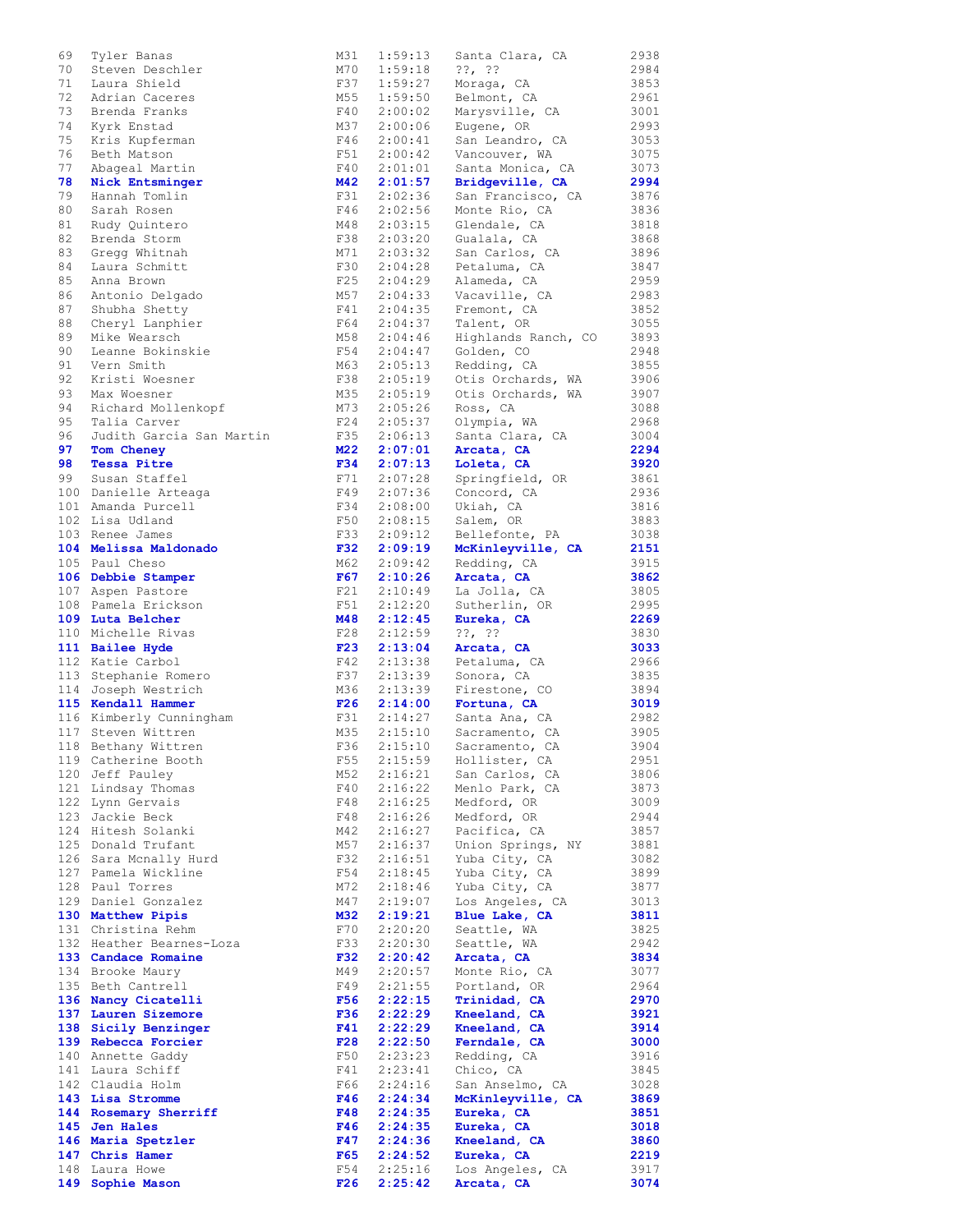| 69  | Tyler Banas              | M31        | 1:59:13 | Santa Clara, CA     | 2938 |
|-----|--------------------------|------------|---------|---------------------|------|
| 70  | Steven Deschler          | M70        | 1:59:18 | $??$ , $??$         | 2984 |
| 71  | Laura Shield             | F37        | 1:59:27 | Moraga, CA          | 3853 |
| 72  | Adrian Caceres           | M55        | 1:59:50 | Belmont, CA         | 2961 |
| 73  | Brenda Franks            | F40        | 2:00:02 | Marysville, CA      | 3001 |
| 74  | Kyrk Enstad              | M37        | 2:00:06 | Eugene, OR          | 2993 |
|     |                          |            |         |                     |      |
| 75  | Kris Kupferman           | F46        | 2:00:41 | San Leandro, CA     | 3053 |
| 76  | Beth Matson              | F51        | 2:00:42 | Vancouver, WA       | 3075 |
| 77  | Abageal Martin           | F40        | 2:01:01 | Santa Monica, CA    | 3073 |
| 78  | Nick Entsminger          | M42        | 2:01:57 | Bridgeville, CA     | 2994 |
| 79  | Hannah Tomlin            | F31        | 2:02:36 | San Francisco, CA   | 3876 |
| 80  | Sarah Rosen              | F46        | 2:02:56 | Monte Rio, CA       | 3836 |
|     |                          |            |         |                     |      |
| 81  | Rudy Ouintero            | M48        | 2:03:15 | Glendale, CA        | 3818 |
| 82  | Brenda Storm             | F38        | 2:03:20 | Gualala, CA         | 3868 |
| 83  | Gregg Whitnah            | M71        | 2:03:32 | San Carlos, CA      | 3896 |
| 84  | Laura Schmitt            | F30        | 2:04:28 | Petaluma, CA        | 3847 |
| 85  | Anna Brown               | F25        | 2:04:29 | Alameda, CA         | 2959 |
| 86  | Antonio Delgado          | M57        | 2:04:33 | Vacaville, CA       | 2983 |
|     |                          |            |         |                     |      |
| 87  | Shubha Shetty            | F41        | 2:04:35 | Fremont, CA         | 3852 |
| 88  | Cheryl Lanphier          | F64        | 2:04:37 | Talent, OR          | 3055 |
| 89  | Mike Wearsch             | M58        | 2:04:46 | Highlands Ranch, CO | 3893 |
| 90  | Leanne Bokinskie         | F54        | 2:04:47 | Golden, CO          | 2948 |
| 91  | Vern Smith               | M63        | 2:05:13 | Redding, CA         | 3855 |
| 92  | Kristi Woesner           | F38        | 2:05:19 | Otis Orchards, WA   | 3906 |
|     |                          |            |         |                     |      |
| 93  | Max Woesner              | M35        | 2:05:19 | Otis Orchards, WA   | 3907 |
| 94  | Richard Mollenkopf       | M73        | 2:05:26 | Ross, CA            | 3088 |
| 95  | Talia Carver             | F24        | 2:05:37 | Olympia, WA         | 2968 |
| 96  | Judith Garcia San Martin | F35        | 2:06:13 | Santa Clara, CA     | 3004 |
| 97  | Tom Cheney               | M22        | 2:07:01 | Arcata, CA          | 2294 |
| 98  | <b>Tessa Pitre</b>       | <b>F34</b> | 2:07:13 | Loleta, CA          | 3920 |
|     |                          |            |         |                     |      |
| 99  | Susan Staffel            | F71        | 2:07:28 | Springfield, OR     | 3861 |
|     | 100 Danielle Arteaga     | F49        | 2:07:36 | Concord, CA         | 2936 |
|     | 101 Amanda Purcell       | F34        | 2:08:00 | Ukiah, CA           | 3816 |
|     | 102 Lisa Udland          | F50        | 2:08:15 | Salem, OR           | 3883 |
|     | 103 Renee James          | F33        | 2:09:12 | Bellefonte, PA      | 3038 |
|     | 104 Melissa Maldonado    | <b>F32</b> | 2:09:19 | McKinleyville, CA   | 2151 |
|     |                          |            |         |                     |      |
|     | 105 Paul Cheso           | M62        | 2:09:42 | Redding, CA         | 3915 |
|     | 106 Debbie Stamper       | F67        | 2:10:26 | Arcata, CA          | 3862 |
|     | 107 Aspen Pastore        | F21        | 2:10:49 | La Jolla, CA        | 3805 |
|     | 108 Pamela Erickson      | F51        | 2:12:20 | Sutherlin, OR       | 2995 |
|     | 109 Luta Belcher         | M48        | 2:12:45 | Eureka, CA          | 2269 |
|     |                          | F28        | 2:12:59 | $??\, ?\,$          | 3830 |
|     | 110 Michelle Rivas       |            |         |                     |      |
|     | 111 Bailee Hyde          | F23        | 2:13:04 | Arcata, CA          | 3033 |
|     | 112 Katie Carbol         | F42        | 2:13:38 | Petaluma, CA        | 2966 |
|     | 113 Stephanie Romero     | F37        | 2:13:39 | Sonora, CA          | 3835 |
|     | 114 Joseph Westrich      | M36        | 2:13:39 | Firestone, CO       | 3894 |
|     | 115 Kendall Hammer       | F26        | 2:14:00 | Fortuna, CA         | 3019 |
|     | 116 Kimberly Cunningham  | F31        | 2:14:27 | Santa Ana, CA       | 2982 |
|     |                          |            |         |                     |      |
|     | 117 Steven Wittren       | M35        | 2:15:10 | Sacramento, CA      | 3905 |
| 118 | Bethany Wittren          | F36        | 2:15:10 | Sacramento, CA      | 3904 |
|     | 119 Catherine Booth      | F55        | 2:15:59 | Hollister, CA       | 2951 |
|     | 120 Jeff Pauley          | M52        | 2:16:21 | San Carlos, CA      | 3806 |
|     | 121 Lindsay Thomas       | F40        | 2:16:22 | Menlo Park, CA      | 3873 |
|     | 122 Lynn Gervais         | F48        | 2:16:25 | Medford, OR         | 3009 |
|     |                          |            |         |                     |      |
|     | 123 Jackie Beck          | F48        | 2:16:26 | Medford, OR         | 2944 |
| 124 | Hitesh Solanki           | M42        | 2:16:27 | Pacifica, CA        | 3857 |
|     | 125 Donald Trufant       | M57        | 2:16:37 | Union Springs, NY   | 3881 |
|     | 126 Sara Mcnally Hurd    | F32        | 2:16:51 | Yuba City, CA       | 3082 |
|     | 127 Pamela Wickline      | F54        | 2:18:45 | Yuba City, CA       | 3899 |
|     | 128 Paul Torres          | M72        | 2:18:46 | Yuba City, CA       | 3877 |
|     | 129 Daniel Gonzalez      | M47        | 2:19:07 | Los Angeles, CA     | 3013 |
|     |                          |            |         |                     |      |
|     | 130 Matthew Pipis        | M32        | 2:19:21 | Blue Lake, CA       | 3811 |
|     | 131 Christina Rehm       | F70        | 2:20:20 | Seattle, WA         | 3825 |
|     | 132 Heather Bearnes-Loza | F33        | 2:20:30 | Seattle, WA         | 2942 |
|     | 133 Candace Romaine      | <b>F32</b> | 2:20:42 | Arcata, CA          | 3834 |
|     | 134 Brooke Maury         | M49        | 2:20:57 | Monte Rio, CA       | 3077 |
|     | 135 Beth Cantrell        | F49        | 2:21:55 | Portland, OR        | 2964 |
|     |                          |            |         |                     |      |
|     | 136 Nancy Cicatelli      | F56        | 2:22:15 | Trinidad, CA        | 2970 |
|     | 137 Lauren Sizemore      | F36        | 2:22:29 | Kneeland, CA        | 3921 |
|     | 138 Sicily Benzinger     | F41        | 2:22:29 | Kneeland, CA        | 3914 |
|     | 139 Rebecca Forcier      | F28        | 2:22:50 | Ferndale, CA        | 3000 |
|     | 140 Annette Gaddy        | F50        | 2:23:23 | Redding, CA         | 3916 |
|     | 141 Laura Schiff         | F41        | 2:23:41 | Chico, CA           | 3845 |
|     | 142 Claudia Holm         | F66        | 2:24:16 | San Anselmo, CA     | 3028 |
|     |                          |            |         |                     |      |
|     | 143 Lisa Stromme         | F46        | 2:24:34 | McKinleyville, CA   | 3869 |
|     | 144 Rosemary Sherriff    | F48        | 2:24:35 | Eureka, CA          | 3851 |
|     | 145 Jen Hales            | F46        | 2:24:35 | Eureka, CA          | 3018 |
|     | 146 Maria Spetzler       | F47        | 2:24:36 | Kneeland, CA        | 3860 |
|     | 147 Chris Hamer          | F65        | 2:24:52 | Eureka, CA          | 2219 |
|     | 148 Laura Howe           | F54        | 2:25:16 | Los Angeles, CA     | 3917 |
|     |                          | F26        |         |                     | 3074 |
|     | 149 Sophie Mason         |            | 2:25:42 | Arcata, CA          |      |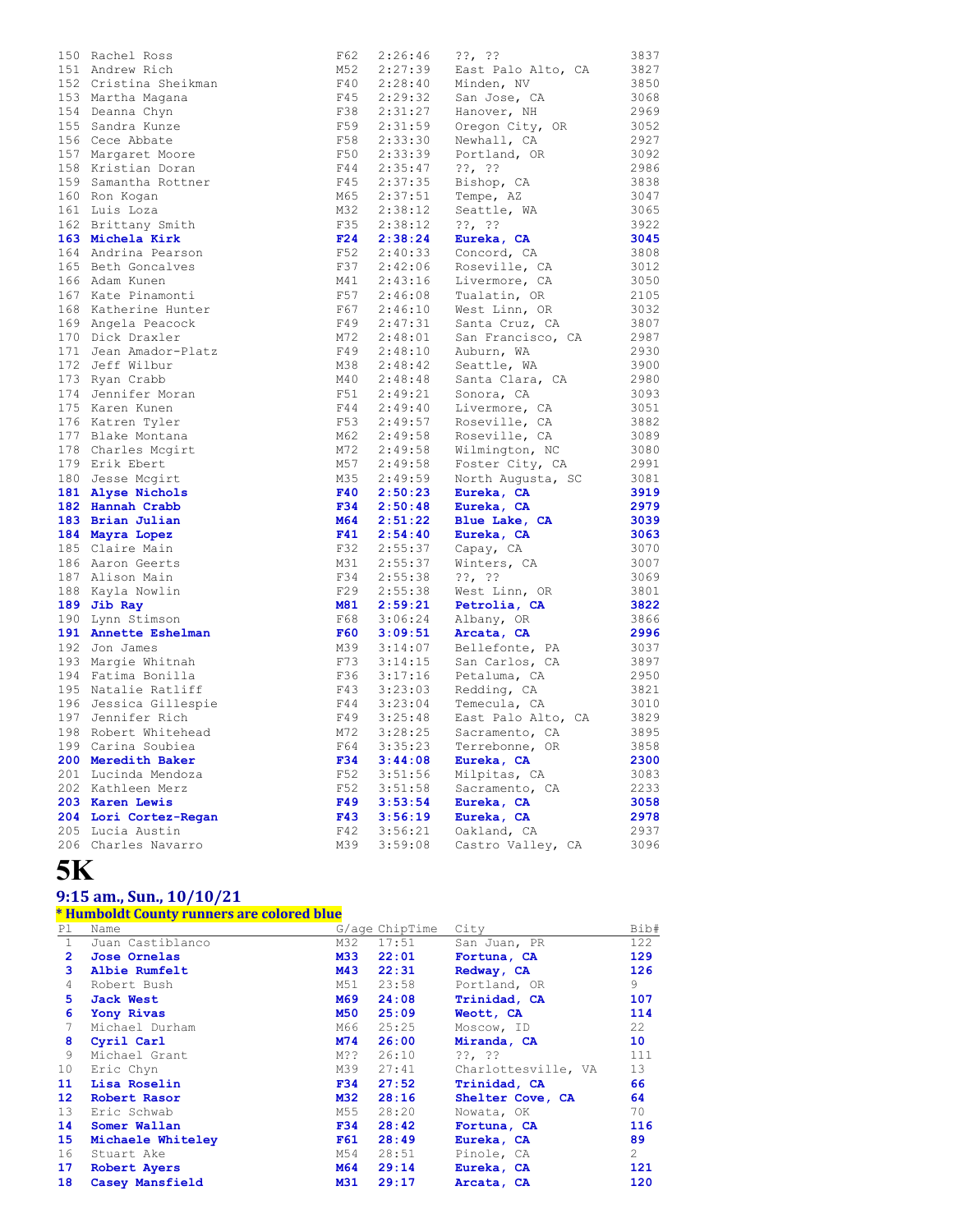| 150 | Rachel Ross           | F62        | 2:26:46                       | ??, ??                                            | 3837 |
|-----|-----------------------|------------|-------------------------------|---------------------------------------------------|------|
|     | 151 Andrew Rich       | M52        | 2:27:39                       | East Palo Alto, CA                                | 3827 |
|     | 152 Cristina Sheikman | F40        |                               | $2:28:40$ Minden, NV                              | 3850 |
|     | 153 Martha Magana     | F45        |                               | San Jose, CA                                      | 3068 |
|     | 154 Deanna Chyn       | F38        | $2:29:32$<br>$2:31:27$        | Hanover, NH                                       | 2969 |
|     | 155 Sandra Kunze      | F59        | 2:31:59<br>2:33:30            | Oregon City, OR                                   | 3052 |
|     | 156 Cece Abbate       | F58        |                               | Newhall, CA                                       | 2927 |
|     | 157 Margaret Moore    | F50        | 2:33:39                       | Portland, OR                                      | 3092 |
|     | 158 Kristian Doran    | F44        | 2:35:47                       | $??\, ??$                                         | 2986 |
|     | 159 Samantha Rottner  | F45        | 2:37:35                       | Bishop, CA                                        | 3838 |
|     | 160 Ron Kogan         | M65        | 2:37:51                       | Tempe, AZ                                         | 3047 |
|     | 161 Luis Loza         | M32        | 2:38:12                       | Seattle, WA                                       | 3065 |
|     | 162 Brittany Smith    | F35        | 2:38:12                       | $??\,  ??$                                        | 3922 |
|     | 163 Michela Kirk      | F24        | 2:38:24                       | Eureka, CA                                        | 3045 |
|     | 164 Andrina Pearson   | F52        |                               | $2:40:33$ Concord, CA                             | 3808 |
|     | 165 Beth Goncalves    | F37        | 2:42:06                       | Roseville, CA                                     | 3012 |
|     | 166 Adam Kunen        | M41        | 2:43:16                       | Livermore, CA                                     | 3050 |
|     | 167 Kate Pinamonti    | F57        |                               | Tualatin, OR                                      | 2105 |
|     | 168 Katherine Hunter  | F67        | $2:46:08$<br>$2:46:10$        | West Linn, OR                                     | 3032 |
|     | 169 Angela Peacock    | F49        |                               | Santa Cruz, CA                                    | 3807 |
|     | 170 Dick Draxler      | M72        | $2:47:31$<br>$2:48:01$        | San Francisco, CA                                 | 2987 |
|     | 171 Jean Amador-Platz | F49        | 2:48:10                       |                                                   | 2930 |
|     | 172 Jeff Wilbur       | M38        |                               | Auburn, WA                                        | 3900 |
|     |                       | M40        | $2:48:42$<br>$2:48:48$        | Seattle, WA                                       |      |
|     | 173 Ryan Crabb        |            |                               | Santa Clara, CA                                   | 2980 |
|     | 174 Jennifer Moran    | F51        | 2:49:21<br>2:49:40<br>2:49:57 | Sonora, CA                                        | 3093 |
|     | 175 Karen Kunen       | F44        |                               | Livermore, CA                                     | 3051 |
|     | 176 Katren Tyler      | F53        |                               | Roseville, CA                                     | 3882 |
|     | 177 Blake Montana     | M62        | 2:49:58                       | Roseville, CA                                     | 3089 |
|     | 178 Charles Mcgirt    | M72        |                               | 2:49:58 Wilmington, NC<br>2:49:58 Foster City, CA | 3080 |
|     | 179 Erik Ebert        | M57        |                               |                                                   | 2991 |
|     | 180 Jesse Mcgirt      | M35        | $2:49:59$<br>$2:50:23$        | North Augusta, SC                                 | 3081 |
|     | 181 Alyse Nichols     | F40        |                               | Eureka, CA                                        | 3919 |
|     | 182 Hannah Crabb      | F34        | 2:50:48                       | Eureka, CA                                        | 2979 |
|     | 183 Brian Julian      | M64        | 2:51:22                       | Blue Lake, CA                                     | 3039 |
|     | 184 Mayra Lopez       | F41        | 2:54:40                       | Eureka, CA                                        | 3063 |
|     | 185 Claire Main       | F32        | 2:55:37                       | Capay, CA                                         | 3070 |
|     | 186 Aaron Geerts      | M31        | 2:55:37                       | Winters, CA                                       | 3007 |
|     | 187 Alison Main       | F34        | 2:55:38                       | $??\, ?\,$                                        | 3069 |
|     | 188 Kayla Nowlin      | F29        | 2:55:38                       | West Linn, OR                                     | 3801 |
|     | 189 Jib Ray           | M81        | 2:59:21                       | Petrolia, CA                                      | 3822 |
|     | 190 Lynn Stimson      | F68        | 3:06:24                       | Albany, OR                                        | 3866 |
|     | 191 Annette Eshelman  | <b>F60</b> | 3:09:51                       | Arcata, CA                                        | 2996 |
|     | 192 Jon James         | M39        | 3:14:07                       | Bellefonte, PA                                    | 3037 |
|     | 193 Margie Whitnah    | F73        | 3:14:15                       | San Carlos, CA                                    | 3897 |
|     | 194 Fatima Bonilla    | F36        | $3:17:16$<br>$3:23:03$        | Petaluma, CA                                      | 2950 |
|     | 195 Natalie Ratliff   | F43        |                               | Redding, CA                                       | 3821 |
|     | 196 Jessica Gillespie | F44        | 3:23:04                       | Temecula, CA                                      | 3010 |
|     | 197 Jennifer Rich     | F49        | 3:25:48                       | East Palo Alto, CA                                | 3829 |
|     | 198 Robert Whitehead  | M72        | 3:28:25                       | Sacramento, CA                                    | 3895 |
|     | 199 Carina Soubiea    | F64        | 3:35:23                       | Terrebonne, OR                                    | 3858 |
|     | 200 Meredith Baker    | <b>F34</b> | 3:44:08                       | Eureka, CA                                        | 2300 |
|     | 201 Lucinda Mendoza   | F52        | 3:51:56                       | Milpitas, CA                                      | 3083 |
|     | 202 Kathleen Merz     | F52        | 3:51:58                       | Sacramento, CA                                    | 2233 |
|     | 203 Karen Lewis       | F49        | 3:53:54                       | Eureka, CA                                        | 3058 |
|     | 204 Lori Cortez-Regan | <b>F43</b> | 3:56:19                       | Eureka, CA                                        | 2978 |
|     | 205 Lucia Austin      | F42        | 3:56:21                       | Oakland, CA                                       | 2937 |
|     |                       |            |                               |                                                   |      |
|     | 206 Charles Navarro   | M39        | 3:59:08                       | Castro Valley, CA                                 | 3096 |

# **5K**

#### **9:15 am., Sun., 10/10/21**

#### **\* Humboldt County runners are colored blue**

| Pl.             | Name                |            | G/age ChipTime | City                | Bib#          |
|-----------------|---------------------|------------|----------------|---------------------|---------------|
| $\mathbf{1}$    | Juan Castiblanco    | M32        | 17:51          | San Juan, PR        | 122           |
| $\mathbf{2}$    | <b>Jose Ornelas</b> | M33        | 22:01          | Fortuna, CA         | 129           |
| 3               | Albie Rumfelt       | M43        | 22:31          | Redway, CA          | 126           |
| 4               | Robert Bush         | M51        | 23:58          | Portland, OR        | 9             |
| 5.              | Jack West           | M69        | 24:08          | Trinidad, CA        | 107           |
| 6               | Yony Rivas          | M50        | 25:09          | Weott, CA           | 114           |
| 7               | Michael Durham      | M66        | 25:25          | Moscow, ID          | 22            |
| 8               | Cyril Carl          | M74        | 26:00          | Miranda, CA         | 10            |
| 9               | Michael Grant       | M??        | 26:10          | $??\, ?\,$          | 111           |
| 10              | Eric Chyn           | M39        | 27:41          | Charlottesville, VA | 13            |
| 11              | Lisa Roselin        | F34        | 27:52          | Trinidad, CA        | 66            |
| 12 <sup>1</sup> | Robert Rasor        | M32        | 28:16          | Shelter Cove, CA    | 64            |
| 13              | Eric Schwab         | M55        | 28:20          | Nowata, OK          | 70            |
| 14              | Somer Wallan        | <b>F34</b> | 28:42          | Fortuna, CA         | 116           |
| 15              | Michaele Whiteley   | F61        | 28:49          | Eureka, CA          | 89            |
| 16              | Stuart Ake          | M54        | 28:51          | Pinole, CA          | $\mathcal{L}$ |
| 17              | Robert Ayers        | M64        | 29:14          | Eureka, CA          | 121           |
| 18              | Casey Mansfield     | M31        | 29:17          | Arcata, CA          | 120           |